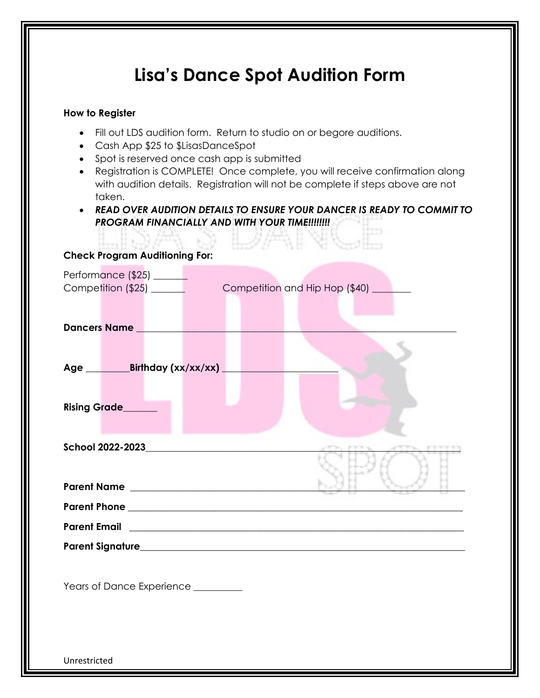| How to Register                                                                                                                     |                                                                                                                                                                                                                                                                                                                                                                                    |
|-------------------------------------------------------------------------------------------------------------------------------------|------------------------------------------------------------------------------------------------------------------------------------------------------------------------------------------------------------------------------------------------------------------------------------------------------------------------------------------------------------------------------------|
| Cash App \$25 to \$LisasDanceSpot<br>$\bullet$<br>• Spot is reserved once cash app is submitted<br>$\bullet$<br>taken.<br>$\bullet$ | Fill out LDS audition form. Return to studio on or begore auditions.<br>Registration is COMPLETE! Once complete, you will receive confirmation along<br>with audition details. Registration will not be complete if steps above are not<br>READ OVER AUDITION DETAILS TO ENSURE YOUR DANCER IS READY TO COMMIT TO<br><b>PROGRAM FINANCIALLY AND WITH YOUR TIME!!!!!!!!</b><br>外生活的 |
| <b>Check Program Auditioning For:</b>                                                                                               |                                                                                                                                                                                                                                                                                                                                                                                    |
| Performance (\$25) ______                                                                                                           | Competition and Hip Hop (\$40) ____                                                                                                                                                                                                                                                                                                                                                |
| <b>Dancers Name</b>                                                                                                                 |                                                                                                                                                                                                                                                                                                                                                                                    |
| <b>Rising Grade___</b>                                                                                                              |                                                                                                                                                                                                                                                                                                                                                                                    |
|                                                                                                                                     |                                                                                                                                                                                                                                                                                                                                                                                    |
|                                                                                                                                     |                                                                                                                                                                                                                                                                                                                                                                                    |
|                                                                                                                                     |                                                                                                                                                                                                                                                                                                                                                                                    |
|                                                                                                                                     |                                                                                                                                                                                                                                                                                                                                                                                    |
|                                                                                                                                     | <u> 1989 - Johann Stein, mars and de Britain and de Britain and de Britain and de Britain and de Britain and de B</u>                                                                                                                                                                                                                                                              |
| <b>Parent Email</b>                                                                                                                 |                                                                                                                                                                                                                                                                                                                                                                                    |